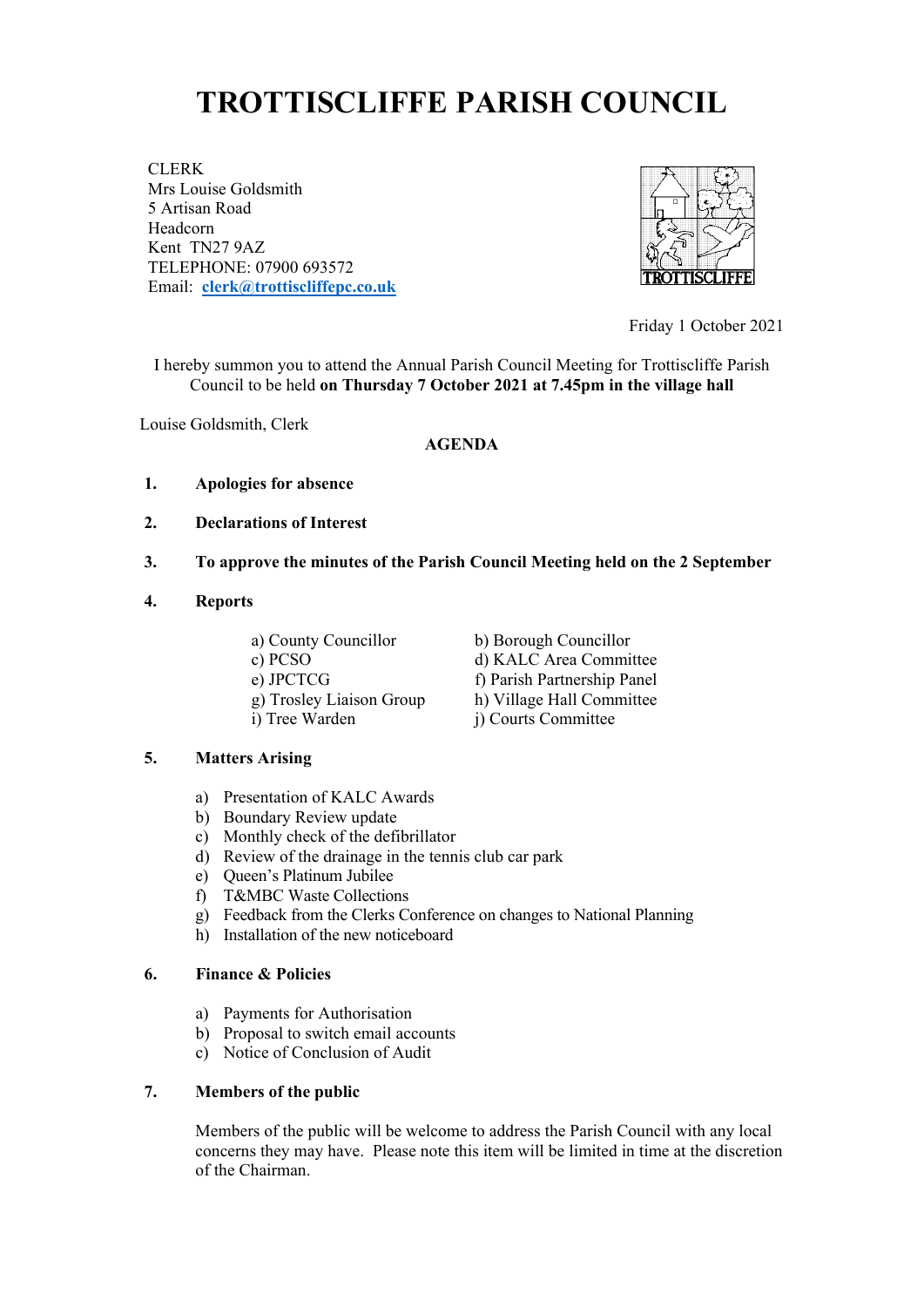# **TROTTISCLIFFE PARISH COUNCIL**

CLERK Mrs Louise Goldsmith 5 Artisan Road Headcorn Kent TN27 9AZ TELEPHONE: 07900 693572 Email: **[clerk@trottiscliffepc.co.uk](mailto:clerk@trottiscliffepc.co.uk)**



Friday 1 October 2021

I hereby summon you to attend the Annual Parish Council Meeting for Trottiscliffe Parish Council to be held **on Thursday 7 October 2021 at 7.45pm in the village hall** 

Louise Goldsmith, Clerk

#### **AGENDA**

- **1. Apologies for absence**
- **2. Declarations of Interest**
- **3. To approve the minutes of the Parish Council Meeting held on the 2 September**
- **4. Reports**
	- a) County Councillor b) Borough Councillor i) Tree Warden j) Courts Committee

 c) PCSO d) KALC Area Committee e) JPCTCG f) Parish Partnership Panel g) Trosley Liaison Group h) Village Hall Committee

#### **5. Matters Arising**

- a) Presentation of KALC Awards
- b) Boundary Review update
- c) Monthly check of the defibrillator
- d) Review of the drainage in the tennis club car park
- e) Queen's Platinum Jubilee
- f) T&MBC Waste Collections
- g) Feedback from the Clerks Conference on changes to National Planning
- h) Installation of the new noticeboard

#### **6. Finance & Policies**

- a) Payments for Authorisation
- b) Proposal to switch email accounts
- c) Notice of Conclusion of Audit

#### **7. Members of the public**

Members of the public will be welcome to address the Parish Council with any local concerns they may have. Please note this item will be limited in time at the discretion of the Chairman.